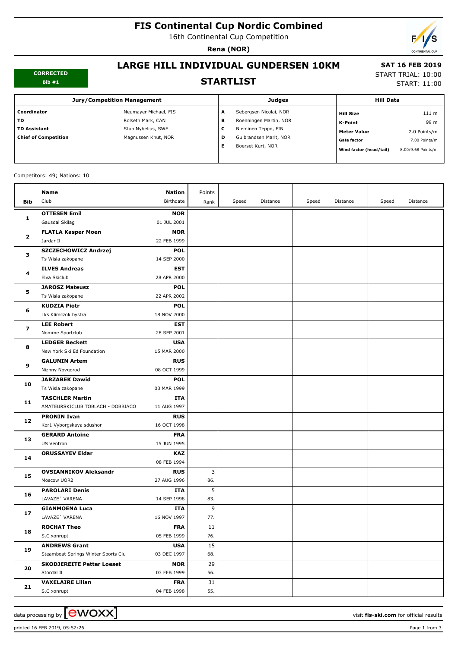# **FIS Continental Cup Nordic Combined**

16th Continental Cup Competition

**Rena (NOR)**



#### **CORRECTED Bib #1**

## **LARGE HILL INDIVIDUAL GUNDERSEN 10KM STARTLIST**

#### **SAT 16 FEB 2019** START TRIAL: 10:00

START: 11:00

| <b>Jury/Competition Management</b> |                       |   | <b>Judges</b>          |                         | <b>Hill Data</b>   |  |
|------------------------------------|-----------------------|---|------------------------|-------------------------|--------------------|--|
| Coordinator                        | Neumayer Michael, FIS | A | Sebergsen Nicolai, NOR | <b>Hill Size</b>        | 111 <sub>m</sub>   |  |
| TD                                 | Rolseth Mark, CAN     | в | Roenningen Martin, NOR | K-Point                 | 99 m               |  |
| <b>TD Assistant</b>                | Stub Nybelius, SWE    | c | Nieminen Teppo, FIN    | <b>Meter Value</b>      | 2.0 Points/m       |  |
| <b>Chief of Competition</b>        | Magnussen Knut, NOR   | D | Gulbrandsen Marit, NOR | <b>Gate factor</b>      | 7.00 Points/m      |  |
|                                    |                       | Е | Boerset Kurt, NOR      | Wind factor (head/tail) | 8.00/9.68 Points/m |  |
|                                    |                       |   |                        |                         |                    |  |

#### Competitors: 49; Nations: 10

|              | Name                                | <b>Nation</b>             | Points |       |          |       |          |       |          |
|--------------|-------------------------------------|---------------------------|--------|-------|----------|-------|----------|-------|----------|
| <b>Bib</b>   | Club                                | Birthdate                 | Rank   | Speed | Distance | Speed | Distance | Speed | Distance |
|              | <b>OTTESEN Emil</b>                 | <b>NOR</b>                |        |       |          |       |          |       |          |
| 1            | Gausdal Skilag                      | 01 JUL 2001               |        |       |          |       |          |       |          |
| $\mathbf{z}$ | <b>FLATLA Kasper Moen</b>           | <b>NOR</b>                |        |       |          |       |          |       |          |
|              | Jardar II                           | 22 FEB 1999               |        |       |          |       |          |       |          |
| з            | SZCZECHOWICZ Andrzej                | <b>POL</b>                |        |       |          |       |          |       |          |
|              | Ts Wisla zakopane                   | 14 SEP 2000               |        |       |          |       |          |       |          |
| 4            | <b>ILVES Andreas</b>                | <b>EST</b>                |        |       |          |       |          |       |          |
|              | Elva Skiclub                        | 28 APR 2000               |        |       |          |       |          |       |          |
|              | <b>JAROSZ Mateusz</b>               | <b>POL</b>                |        |       |          |       |          |       |          |
| 5            | Ts Wisla zakopane                   | 22 APR 2002               |        |       |          |       |          |       |          |
|              | <b>KUDZIA Piotr</b>                 | <b>POL</b>                |        |       |          |       |          |       |          |
| 6            | Lks Klimczok bystra                 | 18 NOV 2000               |        |       |          |       |          |       |          |
|              | <b>LEE Robert</b>                   | <b>EST</b>                |        |       |          |       |          |       |          |
| 7            | Nomme Sportclub                     | 28 SEP 2001               |        |       |          |       |          |       |          |
| 8            | <b>LEDGER Beckett</b>               | <b>USA</b>                |        |       |          |       |          |       |          |
|              | New York Ski Ed Foundation          | 15 MAR 2000               |        |       |          |       |          |       |          |
| 9            | <b>GALUNIN Artem</b>                | <b>RUS</b>                |        |       |          |       |          |       |          |
|              | Nizhny Novgorod                     | 08 OCT 1999               |        |       |          |       |          |       |          |
| 10           | <b>JARZABEK Dawid</b>               | <b>POL</b>                |        |       |          |       |          |       |          |
|              | Ts Wisla zakopane                   | 03 MAR 1999               |        |       |          |       |          |       |          |
| 11           | <b>TASCHLER Martin</b>              | <b>ITA</b>                |        |       |          |       |          |       |          |
|              | AMATEURSKICLUB TOBLACH - DOBBIACO   | 11 AUG 1997               |        |       |          |       |          |       |          |
| 12           | <b>PRONIN Ivan</b>                  | <b>RUS</b>                |        |       |          |       |          |       |          |
|              | Kor1 Vyborgskaya sdushor            | 16 OCT 1998               |        |       |          |       |          |       |          |
| 13           | <b>GERARD Antoine</b>               | <b>FRA</b>                |        |       |          |       |          |       |          |
|              | US Ventron                          | 15 JUN 1995               |        |       |          |       |          |       |          |
| 14           | <b>ORUSSAYEV Eldar</b>              | <b>KAZ</b><br>08 FEB 1994 |        |       |          |       |          |       |          |
|              | <b>OVSIANNIKOV Aleksandr</b>        | <b>RUS</b>                | 3      |       |          |       |          |       |          |
| 15           | Moscow UOR2                         | 27 AUG 1996               | 86.    |       |          |       |          |       |          |
|              | <b>PAROLARI Denis</b>               | ITA                       | 5      |       |          |       |          |       |          |
| 16           | LAVAZE' VARENA                      | 14 SEP 1998               | 83.    |       |          |       |          |       |          |
|              | <b>GIANMOENA Luca</b>               | ITA                       | 9      |       |          |       |          |       |          |
| 17           | LAVAZE' VARENA                      | 16 NOV 1997               | 77.    |       |          |       |          |       |          |
|              | <b>ROCHAT Theo</b>                  | <b>FRA</b>                | 11     |       |          |       |          |       |          |
| 18           | S.C xonrupt                         | 05 FEB 1999               | 76.    |       |          |       |          |       |          |
| 19           | <b>ANDREWS Grant</b>                | <b>USA</b>                | 15     |       |          |       |          |       |          |
|              | Steamboat Springs Winter Sports Clu | 03 DEC 1997               | 68.    |       |          |       |          |       |          |
|              | <b>SKODJEREITE Petter Loeset</b>    | <b>NOR</b>                | 29     |       |          |       |          |       |          |
| 20           | Stordal II                          | 03 FEB 1999               | 56.    |       |          |       |          |       |          |
|              | <b>VAXELAIRE Lilian</b>             | <b>FRA</b>                | 31     |       |          |       |          |       |          |
| 21           | S.C xonrupt                         | 04 FEB 1998               | 55.    |       |          |       |          |       |          |

printed 16 FEB 2019, 05:52:26 Page 1 from 3

data processing by **CWOXX**  $\blacksquare$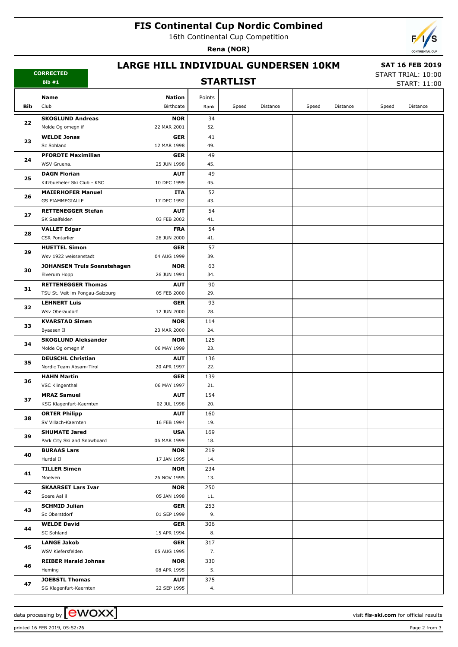# **FIS Continental Cup Nordic Combined**

16th Continental Cup Competition

**Rena (NOR)**



### **LARGE HILL INDIVIDUAL GUNDERSEN 10KM**

## **STARTLIST**

 **SAT 16 FEB 2019** START TRIAL: 10:00

START: 11:00

|          | Bib#1                                                        | SIARILISI                 |            |       |          |       | START: 11:00 |       |          |
|----------|--------------------------------------------------------------|---------------------------|------------|-------|----------|-------|--------------|-------|----------|
|          | Name                                                         | <b>Nation</b>             | Points     |       |          |       |              |       |          |
| Bib      | Club                                                         | Birthdate                 | Rank       | Speed | Distance | Speed | Distance     | Speed | Distance |
|          | <b>SKOGLUND Andreas</b>                                      | <b>NOR</b>                | 34         |       |          |       |              |       |          |
| 22       | Molde Og omegn if                                            | 22 MAR 2001               | 52.        |       |          |       |              |       |          |
|          | <b>WELDE Jonas</b>                                           | <b>GER</b>                | 41         |       |          |       |              |       |          |
| 23       | Sc Sohland                                                   | 12 MAR 1998               | 49.        |       |          |       |              |       |          |
| 24       | <b>PFORDTE Maximilian</b>                                    | <b>GER</b>                | 49         |       |          |       |              |       |          |
|          | WSV Gruena.                                                  | 25 JUN 1998               | 45.        |       |          |       |              |       |          |
| 25       | <b>DAGN Florian</b>                                          | <b>AUT</b>                | 49         |       |          |       |              |       |          |
|          | Kitzbueheler Ski Club - KSC                                  | 10 DEC 1999               | 45.        |       |          |       |              |       |          |
| 26       | <b>MAIERHOFER Manuel</b>                                     | ITA                       | 52         |       |          |       |              |       |          |
|          | <b>GS FIAMMEGIALLE</b>                                       | 17 DEC 1992               | 43.        |       |          |       |              |       |          |
| 27       | <b>RETTENEGGER Stefan</b>                                    | <b>AUT</b>                | 54         |       |          |       |              |       |          |
|          | SK Saalfelden                                                | 03 FEB 2002               | 41.        |       |          |       |              |       |          |
| 28       | <b>VALLET Edgar</b>                                          | <b>FRA</b>                | 54         |       |          |       |              |       |          |
|          | <b>CSR Pontarlier</b>                                        | 26 JUN 2000               | 41.        |       |          |       |              |       |          |
| 29       | <b>HUETTEL Simon</b>                                         | <b>GER</b>                | 57         |       |          |       |              |       |          |
|          | Wsv 1922 weissenstadt                                        | 04 AUG 1999               | 39.        |       |          |       |              |       |          |
| 30       | JOHANSEN Truls Soenstehagen                                  | <b>NOR</b>                | 63         |       |          |       |              |       |          |
|          | Elverum Hopp                                                 | 26 JUN 1991               | 34.        |       |          |       |              |       |          |
| 31       | <b>RETTENEGGER Thomas</b><br>TSU St. Veit im Pongau-Salzburg | <b>AUT</b><br>05 FEB 2000 | 90<br>29.  |       |          |       |              |       |          |
|          | <b>LEHNERT Luis</b>                                          | <b>GER</b>                | 93         |       |          |       |              |       |          |
| 32       | Wsv Oberaudorf                                               | 12 JUN 2000               | 28.        |       |          |       |              |       |          |
|          | <b>KVARSTAD Simen</b>                                        | <b>NOR</b>                | 114        |       |          |       |              |       |          |
| 33       | Byaasen Il                                                   | 23 MAR 2000               | 24.        |       |          |       |              |       |          |
|          | <b>SKOGLUND Aleksander</b>                                   | <b>NOR</b>                | 125        |       |          |       |              |       |          |
| 34       | Molde Og omegn if                                            | 06 MAY 1999               | 23.        |       |          |       |              |       |          |
|          | <b>DEUSCHL Christian</b>                                     | <b>AUT</b>                | 136        |       |          |       |              |       |          |
| 35       | Nordic Team Absam-Tirol                                      | 20 APR 1997               | 22.        |       |          |       |              |       |          |
| 36       | <b>HAHN Martin</b>                                           | <b>GER</b>                | 139        |       |          |       |              |       |          |
|          | VSC Klingenthal                                              | 06 MAY 1997               | 21.        |       |          |       |              |       |          |
|          | <b>MRAZ Samuel</b>                                           | <b>AUT</b>                | 154        |       |          |       |              |       |          |
| 37       | KSG Klagenfurt-Kaernten                                      | 02 JUL 1998               | 20.        |       |          |       |              |       |          |
| 38       | <b>ORTER Philipp</b>                                         | <b>AUT</b>                | 160        |       |          |       |              |       |          |
|          | SV Villach-Kaernten                                          | 16 FEB 1994               | 19.        |       |          |       |              |       |          |
| 39       | <b>SHUMATE Jared</b>                                         | <b>USA</b>                | 169        |       |          |       |              |       |          |
|          | Park City Ski and Snowboard                                  | 06 MAR 1999               | 18.        |       |          |       |              |       |          |
| 40       | <b>BURAAS Lars</b><br>Hurdal II                              | <b>NOR</b><br>17 JAN 1995 | 219<br>14. |       |          |       |              |       |          |
|          | <b>TILLER Simen</b>                                          | <b>NOR</b>                | 234        |       |          |       |              |       |          |
| 41       | Moelven                                                      | 26 NOV 1995               | 13.        |       |          |       |              |       |          |
|          | <b>SKAARSET Lars Ivar</b>                                    | <b>NOR</b>                | 250        |       |          |       |              |       |          |
| 42       | Soere Aal il                                                 | 05 JAN 1998               | 11.        |       |          |       |              |       |          |
| 43<br>44 | <b>SCHMID Julian</b>                                         | <b>GER</b>                | 253        |       |          |       |              |       |          |
|          | Sc Oberstdorf                                                | 01 SEP 1999               | 9.         |       |          |       |              |       |          |
|          | <b>WELDE David</b>                                           | <b>GER</b>                | 306        |       |          |       |              |       |          |
|          | SC Sohland                                                   | 15 APR 1994               | 8.         |       |          |       |              |       |          |
|          | <b>LANGE Jakob</b>                                           | <b>GER</b>                | 317        |       |          |       |              |       |          |
| 45       | WSV Kiefersfelden                                            | 05 AUG 1995               | 7.         |       |          |       |              |       |          |
| 46       | <b>RIIBER Harald Johnas</b>                                  | <b>NOR</b>                | 330        |       |          |       |              |       |          |
|          | Heming                                                       | 08 APR 1995               | 5.         |       |          |       |              |       |          |
| 47       | <b>JOEBSTL Thomas</b>                                        | <b>AUT</b>                | 375        |       |          |       |              |       |          |
|          | SG Klagenfurt-Kaernten                                       | 22 SEP 1995               | 4.         |       |          |       |              |       |          |

**CORRECTED**